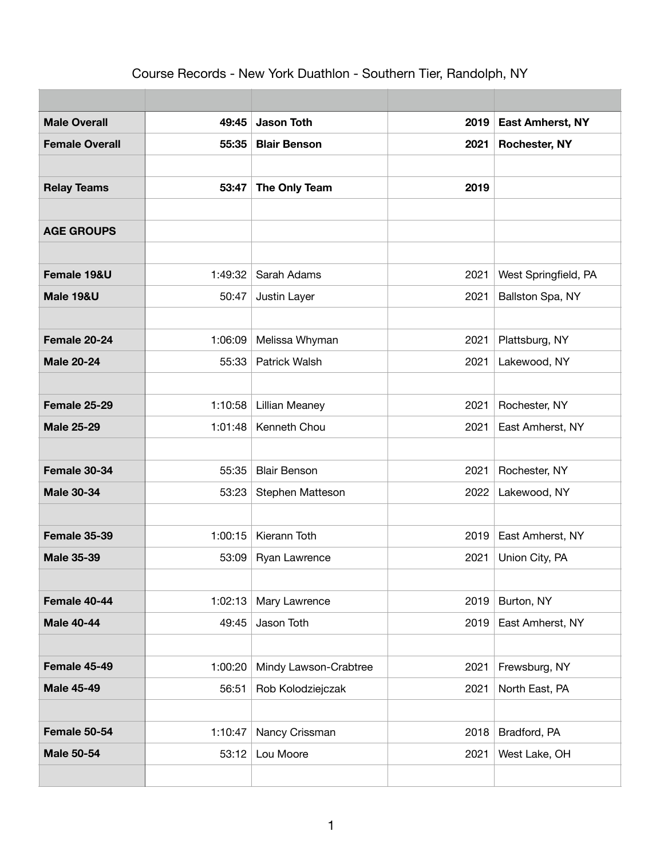## Course Records - New York Duathlon - Southern Tier, Randolph, NY

| <b>Male Overall</b>   | 49:45   | <b>Jason Toth</b>     | 2019 | <b>East Amherst, NY</b> |
|-----------------------|---------|-----------------------|------|-------------------------|
| <b>Female Overall</b> | 55:35   | <b>Blair Benson</b>   | 2021 | <b>Rochester, NY</b>    |
|                       |         |                       |      |                         |
| <b>Relay Teams</b>    | 53:47   | The Only Team         | 2019 |                         |
|                       |         |                       |      |                         |
| <b>AGE GROUPS</b>     |         |                       |      |                         |
|                       |         |                       |      |                         |
| Female 19&U           | 1:49:32 | Sarah Adams           | 2021 | West Springfield, PA    |
| <b>Male 19&amp;U</b>  | 50:47   | Justin Layer          | 2021 | Ballston Spa, NY        |
|                       |         |                       |      |                         |
| Female 20-24          | 1:06:09 | Melissa Whyman        | 2021 | Plattsburg, NY          |
| <b>Male 20-24</b>     | 55:33   | Patrick Walsh         | 2021 | Lakewood, NY            |
|                       |         |                       |      |                         |
| Female 25-29          | 1:10:58 | <b>Lillian Meaney</b> | 2021 | Rochester, NY           |
| <b>Male 25-29</b>     | 1:01:48 | Kenneth Chou          | 2021 | East Amherst, NY        |
|                       |         |                       |      |                         |
| Female 30-34          | 55:35   | <b>Blair Benson</b>   | 2021 | Rochester, NY           |
| <b>Male 30-34</b>     | 53:23   | Stephen Matteson      | 2022 | Lakewood, NY            |
|                       |         |                       |      |                         |
| Female 35-39          | 1:00:15 | Kierann Toth          | 2019 | East Amherst, NY        |
| <b>Male 35-39</b>     | 53:09   | Ryan Lawrence         | 2021 | Union City, PA          |
|                       |         |                       |      |                         |
| Female 40-44          | 1:02:13 | Mary Lawrence         | 2019 | Burton, NY              |
| <b>Male 40-44</b>     | 49:45   | Jason Toth            | 2019 | East Amherst, NY        |
|                       |         |                       |      |                         |
| Female 45-49          | 1:00:20 | Mindy Lawson-Crabtree | 2021 | Frewsburg, NY           |
| <b>Male 45-49</b>     | 56:51   | Rob Kolodziejczak     | 2021 | North East, PA          |
|                       |         |                       |      |                         |
| Female 50-54          | 1:10:47 | Nancy Crissman        | 2018 | Bradford, PA            |
| <b>Male 50-54</b>     | 53:12   | Lou Moore             | 2021 | West Lake, OH           |
|                       |         |                       |      |                         |